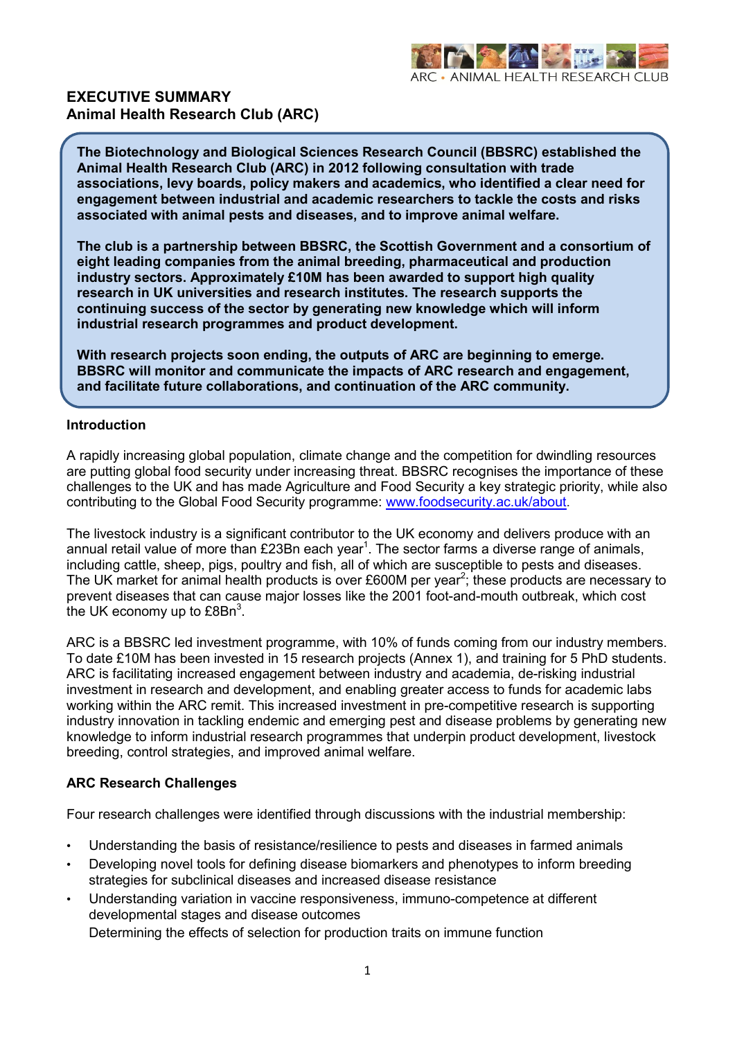

### **EXECUTIVE SUMMARY Animal Health Research Club (ARC)**

**The Biotechnology and Biological Sciences Research Council (BBSRC) established the Animal Health Research Club (ARC) in 2012 following consultation with trade associations, levy boards, policy makers and academics, who identified a clear need for engagement between industrial and academic researchers to tackle the costs and risks associated with animal pests and diseases, and to improve animal welfare.**

**The club is a partnership between BBSRC, the Scottish Government and a consortium of eight leading companies from the animal breeding, pharmaceutical and production industry sectors. Approximately £10M has been awarded to support high quality research in UK universities and research institutes. The research supports the continuing success of the sector by generating new knowledge which will inform industrial research programmes and product development.** 

**With research projects soon ending, the outputs of ARC are beginning to emerge. BBSRC will monitor and communicate the impacts of ARC research and engagement, and facilitate future collaborations, and continuation of the ARC community.**

#### **Introduction**

A rapidly increasing global population, climate change and the competition for dwindling resources are putting global food security under increasing threat. BBSRC recognises the importance of these challenges to the UK and has made Agriculture and Food Security a key strategic priority, while also contributing to the Global Food Security programme: [www.foodsecurity.ac.uk/about.](http://www.foodsecurity.ac.uk/about)

The livestock industry is a significant contributor to the UK economy and delivers produce with an annual retail value of more than £23Bn each year<sup>1</sup>. The sector farms a diverse range of animals, including cattle, sheep, pigs, poultry and fish, all of which are susceptible to pests and diseases. The UK market for animal health products is over £600M per year<sup>2</sup>; these products are necessary to prevent diseases that can cause major losses like the 2001 foot-and-mouth outbreak, which cost the UK economy up to  $\text{EBIn}^3$ .

ARC is a BBSRC led investment programme, with 10% of funds coming from our industry members. To date £10M has been invested in 15 research projects (Annex 1), and training for 5 PhD students. ARC is facilitating increased engagement between industry and academia, de-risking industrial investment in research and development, and enabling greater access to funds for academic labs working within the ARC remit. This increased investment in pre-competitive research is supporting industry innovation in tackling endemic and emerging pest and disease problems by generating new knowledge to inform industrial research programmes that underpin product development, livestock breeding, control strategies, and improved animal welfare.

#### **ARC Research Challenges**

Four research challenges were identified through discussions with the industrial membership:

- Understanding the basis of resistance/resilience to pests and diseases in farmed animals
- Developing novel tools for defining disease biomarkers and phenotypes to inform breeding strategies for subclinical diseases and increased disease resistance
- Understanding variation in vaccine responsiveness, immuno-competence at different developmental stages and disease outcomes

Determining the effects of selection for production traits on immune function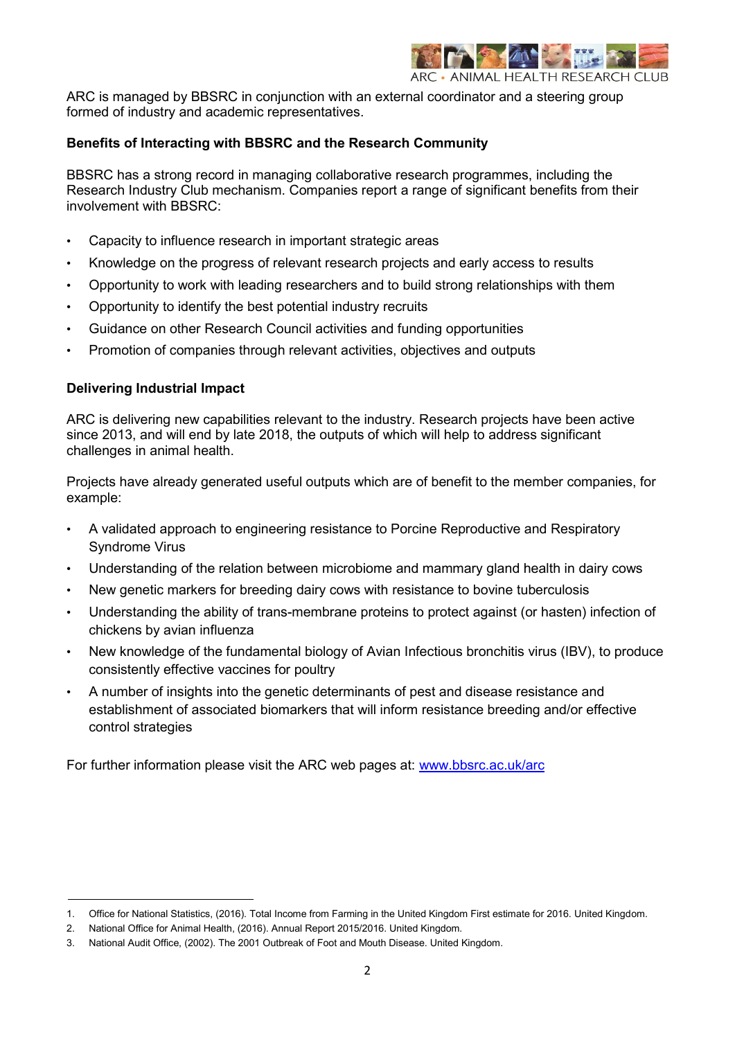

ARC is managed by BBSRC in conjunction with an external coordinator and a steering group formed of industry and academic representatives.

#### **Benefits of Interacting with BBSRC and the Research Community**

BBSRC has a strong record in managing collaborative research programmes, including the Research Industry Club mechanism. Companies report a range of significant benefits from their involvement with BBSRC:

- Capacity to influence research in important strategic areas
- Knowledge on the progress of relevant research projects and early access to results
- Opportunity to work with leading researchers and to build strong relationships with them
- Opportunity to identify the best potential industry recruits
- Guidance on other Research Council activities and funding opportunities
- Promotion of companies through relevant activities, objectives and outputs

#### **Delivering Industrial Impact**

ARC is delivering new capabilities relevant to the industry. Research projects have been active since 2013, and will end by late 2018, the outputs of which will help to address significant challenges in animal health.

Projects have already generated useful outputs which are of benefit to the member companies, for example:

- A validated approach to engineering resistance to Porcine Reproductive and Respiratory Syndrome Virus
- Understanding of the relation between microbiome and mammary gland health in dairy cows
- New genetic markers for breeding dairy cows with resistance to bovine tuberculosis
- Understanding the ability of trans-membrane proteins to protect against (or hasten) infection of chickens by avian influenza
- New knowledge of the fundamental biology of Avian Infectious bronchitis virus (IBV), to produce consistently effective vaccines for poultry
- A number of insights into the genetic determinants of pest and disease resistance and establishment of associated biomarkers that will inform resistance breeding and/or effective control strategies

For further information please visit the ARC web pages at: [www.bbsrc.ac.uk/arc](http://www.bbsrc.ac.uk/arc)

<sup>1.</sup> Office for National Statistics, (2016). Total Income from Farming in the United Kingdom First estimate for 2016. United Kingdom.

<sup>2.</sup> National Office for Animal Health, (2016). Annual Report 2015/2016. United Kingdom.

<sup>3.</sup> National Audit Office, (2002). The 2001 Outbreak of Foot and Mouth Disease. United Kingdom.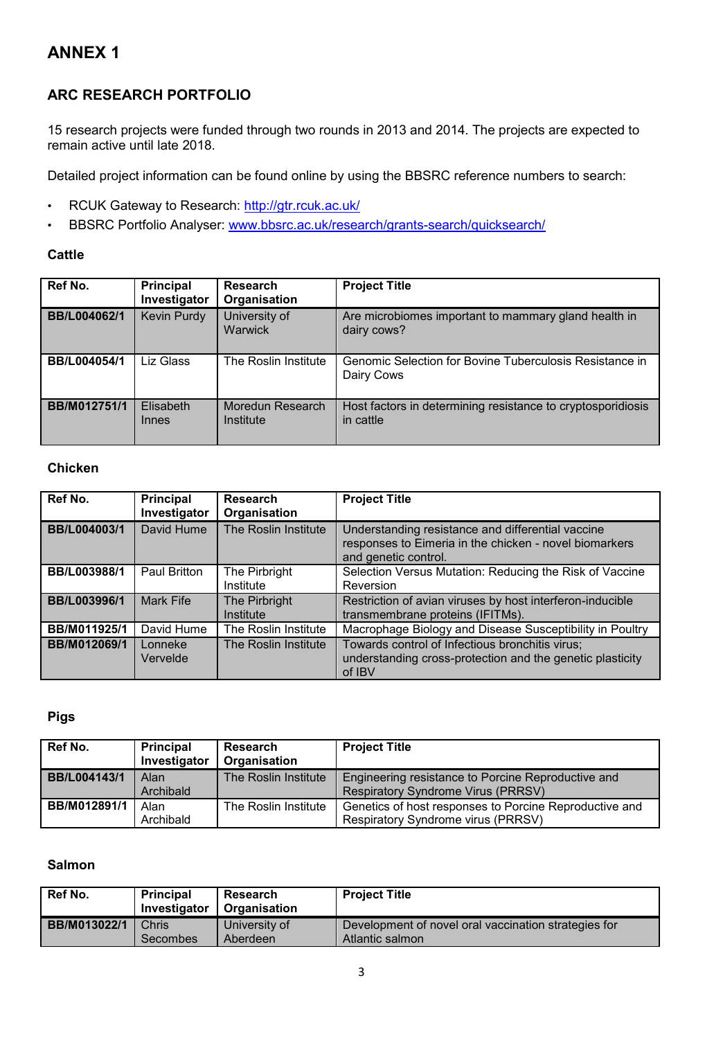# **ANNEX 1**

# **ARC RESEARCH PORTFOLIO**

15 research projects were funded through two rounds in 2013 and 2014. The projects are expected to remain active until late 2018.

Detailed project information can be found online by using the BBSRC reference numbers to search:

- RCUK Gateway to Research:<http://gtr.rcuk.ac.uk/>
- BBSRC Portfolio Analyser: [www.bbsrc.ac.uk/research/grants-search/quicksearch/](http://www.bbsrc.ac.uk/research/grants-search/quicksearch/)

### **Cattle**

| Ref No.      | <b>Principal</b><br>Investigator | <b>Research</b><br>Organisation | <b>Project Title</b>                                                     |
|--------------|----------------------------------|---------------------------------|--------------------------------------------------------------------------|
| BB/L004062/1 | Kevin Purdy                      | University of<br>Warwick        | Are microbiomes important to mammary gland health in<br>dairy cows?      |
| BB/L004054/1 | Liz Glass                        | The Roslin Institute            | Genomic Selection for Bovine Tuberculosis Resistance in<br>Dairy Cows    |
| BB/M012751/1 | Elisabeth<br>Innes               | Moredun Research<br>Institute   | Host factors in determining resistance to cryptosporidiosis<br>in cattle |

### **Chicken**

| Ref No.      | <b>Principal</b><br>Investigator | <b>Research</b><br>Organisation | <b>Project Title</b>                                                                                                                |
|--------------|----------------------------------|---------------------------------|-------------------------------------------------------------------------------------------------------------------------------------|
| BB/L004003/1 | David Hume                       | The Roslin Institute            | Understanding resistance and differential vaccine<br>responses to Eimeria in the chicken - novel biomarkers<br>and genetic control. |
| BB/L003988/1 | Paul Britton                     | The Pirbright<br>Institute      | Selection Versus Mutation: Reducing the Risk of Vaccine<br>Reversion                                                                |
| BB/L003996/1 | Mark Fife                        | The Pirbright<br>Institute      | Restriction of avian viruses by host interferon-inducible<br>transmembrane proteins (IFITMs).                                       |
| BB/M011925/1 | David Hume                       | The Roslin Institute            | Macrophage Biology and Disease Susceptibility in Poultry                                                                            |
| BB/M012069/1 | Lonneke<br>Vervelde              | The Roslin Institute            | Towards control of Infectious bronchitis virus;<br>understanding cross-protection and the genetic plasticity<br>of IBV              |

## **Pigs**

| Ref No.      | <b>Principal</b><br>Investigator | <b>Research</b><br>Organisation | <b>Project Title</b>                                                                            |
|--------------|----------------------------------|---------------------------------|-------------------------------------------------------------------------------------------------|
| BB/L004143/1 | Alan<br>Archibald                | The Roslin Institute            | Engineering resistance to Porcine Reproductive and<br><b>Respiratory Syndrome Virus (PRRSV)</b> |
| BB/M012891/1 | Alan<br>Archibald                | The Roslin Institute            | Genetics of host responses to Porcine Reproductive and<br>Respiratory Syndrome virus (PRRSV)    |

## **Salmon**

| <b>Ref No.</b> | <b>Principal</b><br>Investigator | Research<br>Organisation | <b>Project Title</b>                                 |
|----------------|----------------------------------|--------------------------|------------------------------------------------------|
| BB/M013022/1   | <b>Chris</b>                     | University of            | Development of novel oral vaccination strategies for |
|                | <b>Secombes</b>                  | Aberdeen                 | Atlantic salmon                                      |